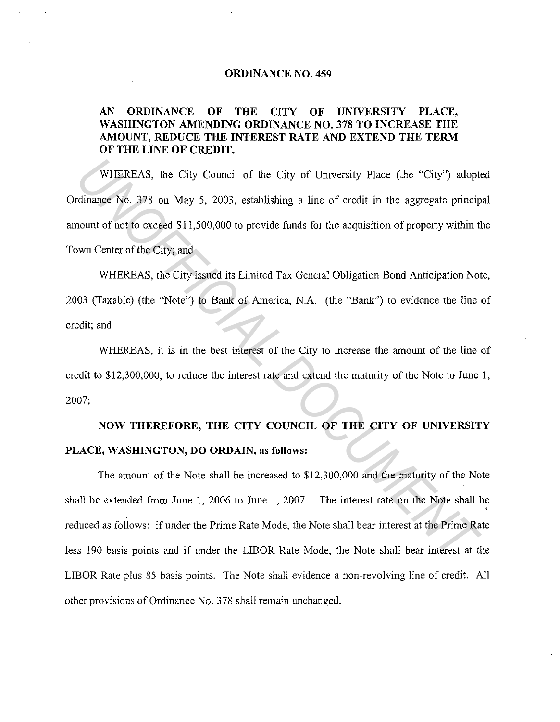## **ORDINANCE NO. 459**

## **AN ORDINANCE OF THE CITY OF UNIVERSITY PLACE, WASHINGTON AMENDING ORDINANCE NO. 378 TO INCREASE THE AMOUNT, REDUCE THE INTEREST RATE AND EXTEND THE TERM OF THE LINE OF CREDIT.**

WHEREAS, the City Council of the City of University Place (the "City") adopted Ordinance No. 378 on May 5, 2003, establishing a line of credit in the aggregate principal amount of not to exceed \$11,500,000 to provide funds for the acquisition of property within the Town Center of the City; and

WHEREAS, the City issued its Limited Tax General Obligation Bond Anticipation Note, 2003 (Taxable) (the "Note") to Bank of America, N.A. (the "Bank") to evidence the line of credit; and

WHEREAS, it is in the best interest of the City to increase the amount of the line of credit to \$12,300,000, to reduce the interest rate and extend the maturity of the Note to June 1, 2007;

## **NOW THEREFORE, THE CITY COUNCIL OF THE CITY OF UNIVERSITY PLACE, WASHINGTON, DO ORDAIN, as follows:**

The amount of the Note shall be increased to \$12,300,000 and the maturity of the Note shall be extended from June 1, 2006 to June 1, 2007. The interest rate on the Note shall be reduced as follows: if under the Prime Rate Mode, the Note shall bear interest at the Prime Rate less 190 basis points and if under the LIBOR Rate Mode, the Note shall bear interest at the LIBOR Rate plus 85 basis points. The Note shall evidence a non-revolving line of credit. All other provisions of Ordinance No. 378 shall remain unchanged. **WHEREAS, the City Council of the City of University Place (the "City") adoptrimance No. 378 on May 5, 2003, establishing a line of credit in the aggregate princip count of not to exceed \$11,500,000 to provide funds for th**